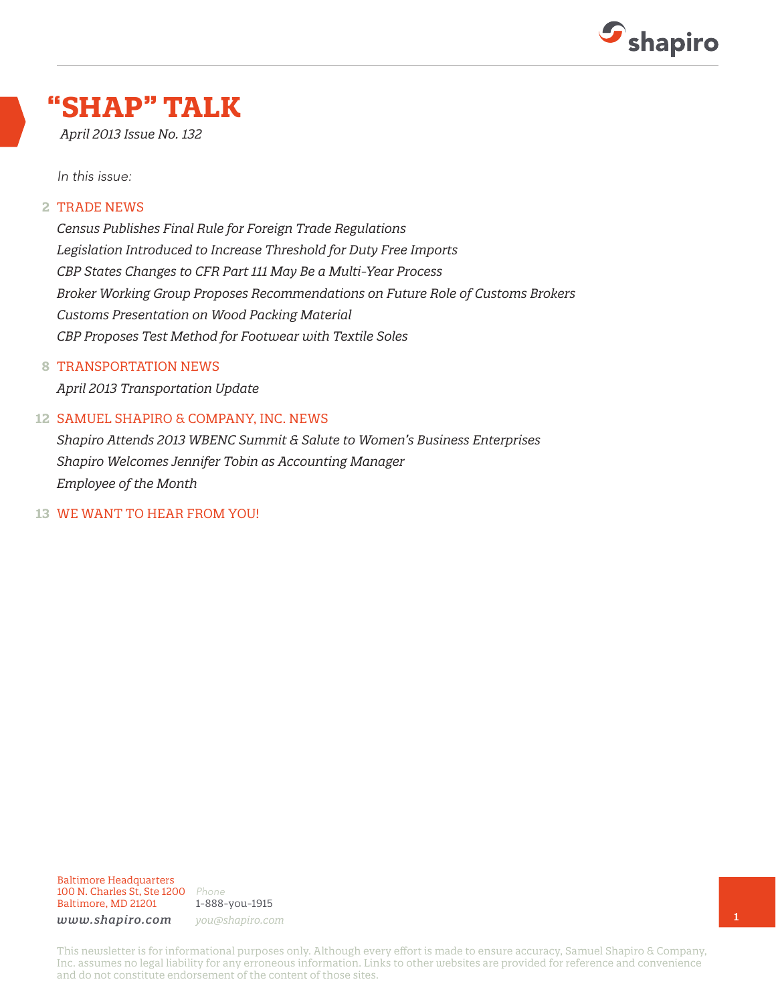

## **"SHAP" TALK**

*April 2013 Issue No. 132*

*In this issue:*

#### TRADE NEWS **2**

*Census Publishes Final Rule for Foreign Trade Regulations Legislation Introduced to Increase Threshold for Duty Free Imports CBP States Changes to CFR Part 111 May Be a Multi-Year Process Broker Working Group Proposes Recommendations on Future Role of Customs Brokers Customs Presentation on Wood Packing Material CBP Proposes Test Method for Footwear with Textile Soles*

#### TRANSPORTATION NEWS **8**

*April 2013 Transportation Update*

#### SAMUEL SHAPIRO & COMPANY, INC. NEWS **12**

*Shapiro Attends 2013 WBENC Summit & Salute to Women's Business Enterprises Shapiro Welcomes Jennifer Tobin as Accounting Manager Employee of the Month*

#### WE WANT TO HEAR FROM YOU! **13**

Baltimore Headquarters 100 N. Charles St, Ste 1200 *Phone* Baltimore, MD 21201

1-888-you-1915 *www.shapiro.com you@shapiro.com*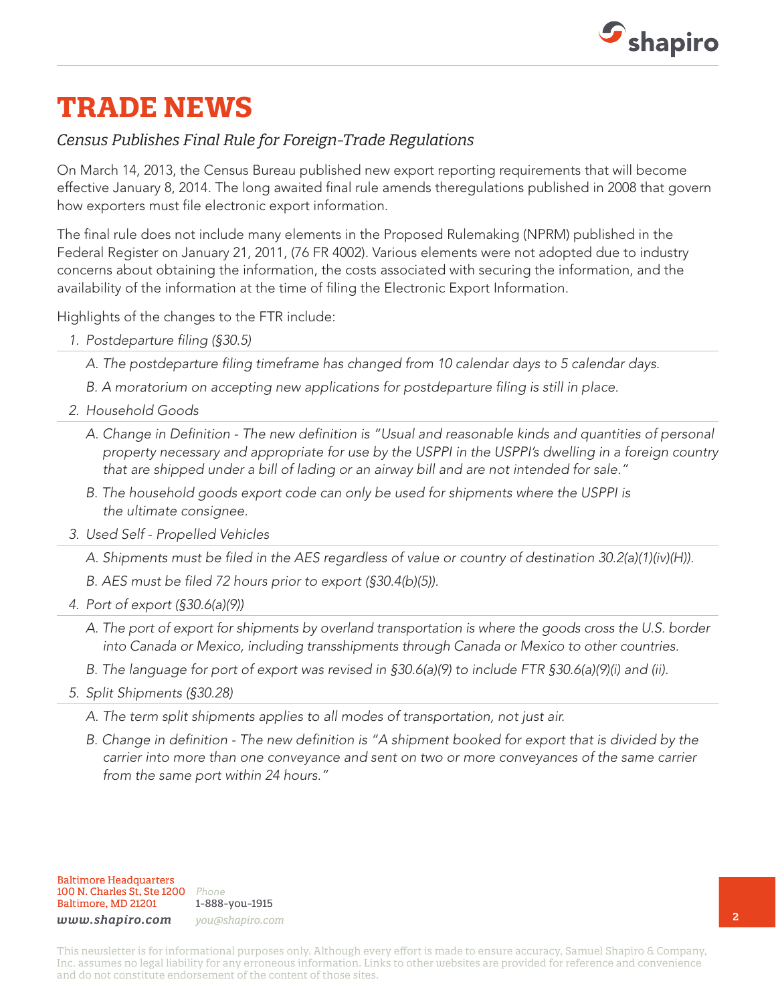

## **TRADE NEWS**

### *Census Publishes Final Rule for Foreign-Trade Regulations*

On March 14, 2013, the Census Bureau published new export reporting requirements that will become effective January 8, 2014. The long awaited final rule amends theregulations published in 2008 that govern how exporters must file electronic export information.

The final rule does not include many elements in the Proposed Rulemaking (NPRM) published in the Federal Register on January 21, 2011, (76 FR 4002). Various elements were not adopted due to industry concerns about obtaining the information, the costs associated with securing the information, and the availability of the information at the time of filing the Electronic Export Information.

Highlights of the changes to the FTR include:

*1. Postdeparture filing (§30.5)*

*A. The postdeparture filing timeframe has changed from 10 calendar days to 5 calendar days.*

- *B. A moratorium on accepting new applications for postdeparture filing is still in place.*
- *2. Household Goods*
	- *A. Change in Definition The new definition is "Usual and reasonable kinds and quantities of personal property necessary and appropriate for use by the USPPI in the USPPI's dwelling in a foreign country that are shipped under a bill of lading or an airway bill and are not intended for sale."*
	- *B. The household goods export code can only be used for shipments where the USPPI is the ultimate consignee.*
- *3. Used Self Propelled Vehicles*

*A. Shipments must be filed in the AES regardless of value or country of destination 30.2(a)(1)(iv)(H)).*

*B. AES must be filed 72 hours prior to export (§30.4(b)(5)).*

- *4. Port of export (§30.6(a)(9))*
	- *A. The port of export for shipments by overland transportation is where the goods cross the U.S. border into Canada or Mexico, including transshipments through Canada or Mexico to other countries.*
	- *B. The language for port of export was revised in §30.6(a)(9) to include FTR §30.6(a)(9)(i) and (ii).*
- *5. Split Shipments (§30.28)*
	- *A. The term split shipments applies to all modes of transportation, not just air.*
	- *B. Change in definition The new definition is "A shipment booked for export that is divided by the carrier into more than one conveyance and sent on two or more conveyances of the same carrier from the same port within 24 hours."*

Baltimore Headquarters 100 N. Charles St, Ste 1200 *Phone* Baltimore, MD 21201

1-888-you-1915 *www.shapiro.com you@shapiro.com*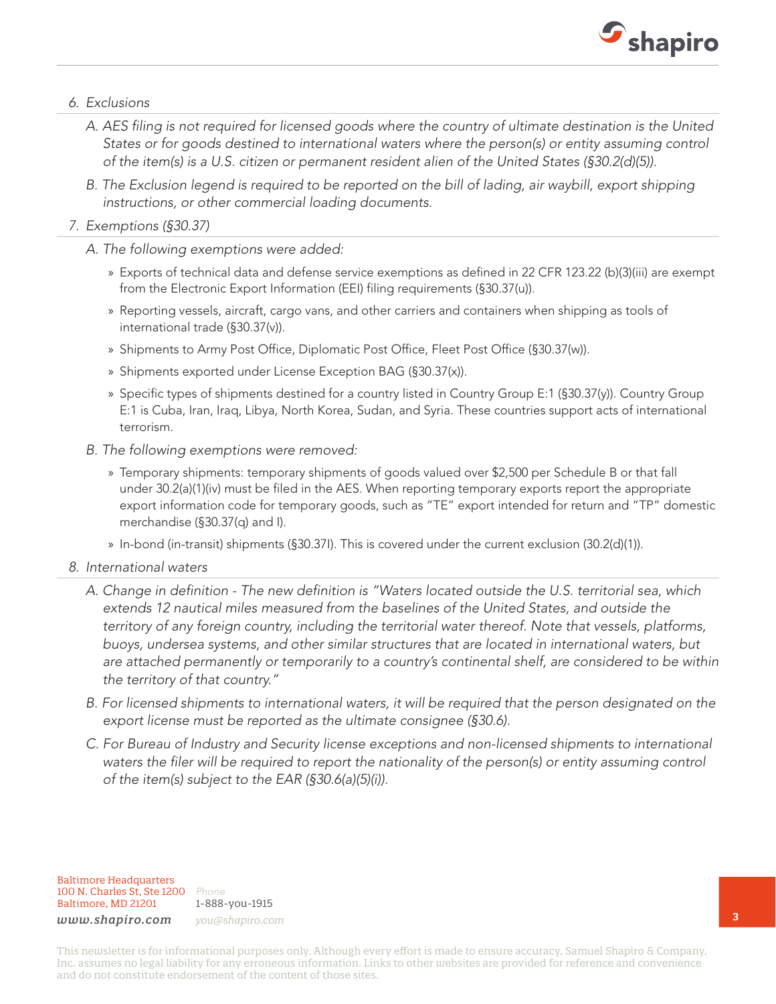

### *6. Exclusions*

- *A. AES filing is not required for licensed goods where the country of ultimate destination is the United States or for goods destined to international waters where the person(s) or entity assuming control of the item(s) is a U.S. citizen or permanent resident alien of the United States (§30.2(d)(5)).*
- *B. The Exclusion legend is required to be reported on the bill of lading, air waybill, export shipping instructions, or other commercial loading documents.*

### *7. Exemptions (§30.37)*

- *A. The following exemptions were added:*
	- » Exports of technical data and defense service exemptions as defined in 22 CFR 123.22 (b)(3)(iii) are exempt from the Electronic Export Information (EEI) filing requirements (§30.37(u)).
	- » Reporting vessels, aircraft, cargo vans, and other carriers and containers when shipping as tools of international trade (§30.37(v)).
	- » Shipments to Army Post Office, Diplomatic Post Office, Fleet Post Office (§30.37(w)).
	- » Shipments exported under License Exception BAG (§30.37(x)).
	- » Specific types of shipments destined for a country listed in Country Group E:1 (§30.37(y)). Country Group E:1 is Cuba, Iran, Iraq, Libya, North Korea, Sudan, and Syria. These countries support acts of international terrorism.
- *B. The following exemptions were removed:*
	- » Temporary shipments: temporary shipments of goods valued over \$2,500 per Schedule B or that fall under 30.2(a)(1)(iv) must be filed in the AES. When reporting temporary exports report the appropriate export information code for temporary goods, such as "TE" export intended for return and "TP" domestic merchandise (§30.37(q) and I).
	- » In-bond (in-transit) shipments (§30.37I). This is covered under the current exclusion (30.2(d)(1)).
- *8. International waters*
	- *A. Change in definition The new definition is "Waters located outside the U.S. territorial sea, which extends 12 nautical miles measured from the baselines of the United States, and outside the territory of any foreign country, including the territorial water thereof. Note that vessels, platforms, buoys, undersea systems, and other similar structures that are located in international waters, but are attached permanently or temporarily to a country's continental shelf, are considered to be within the territory of that country."*
	- *B. For licensed shipments to international waters, it will be required that the person designated on the export license must be reported as the ultimate consignee (§30.6).*
	- *C. For Bureau of Industry and Security license exceptions and non-licensed shipments to international waters the filer will be required to report the nationality of the person(s) or entity assuming control of the item(s) subject to the EAR (§30.6(a)(5)(i)).*

Baltimore Headquarters 100 N. Charles St, Ste 1200 *Phone* Baltimore, MD 21201

1-888-you-1915 *www.shapiro.com you@shapiro.com*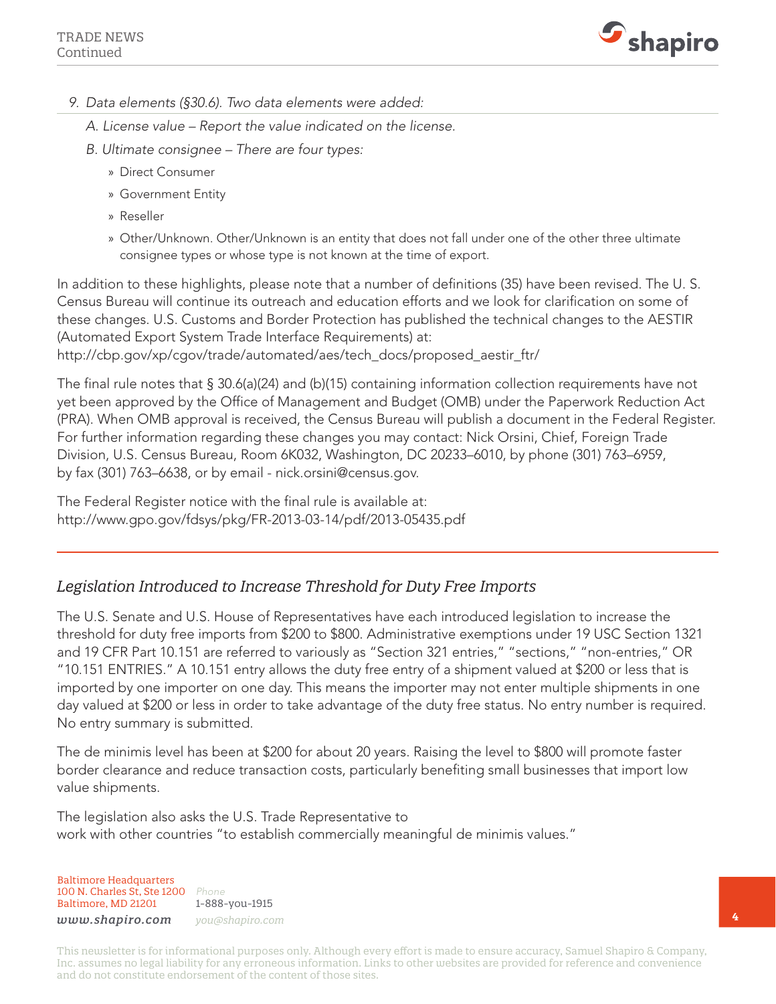

- *9. Data elements (§30.6). Two data elements were added:*
	- *A. License value Report the value indicated on the license.*
	- *B. Ultimate consignee There are four types:*
		- » Direct Consumer
		- » Government Entity
		- » Reseller
		- » Other/Unknown. Other/Unknown is an entity that does not fall under one of the other three ultimate consignee types or whose type is not known at the time of export.

In addition to these highlights, please note that a number of definitions (35) have been revised. The U. S. Census Bureau will continue its outreach and education efforts and we look for clarification on some of these changes. U.S. Customs and Border Protection has published the technical changes to the AESTIR (Automated Export System Trade Interface Requirements) at: http://cbp.gov/xp/cgov/trade/automated/aes/tech\_docs/proposed\_aestir\_ftr/

The final rule notes that § 30.6(a)(24) and (b)(15) containing information collection requirements have not yet been approved by the Office of Management and Budget (OMB) under the Paperwork Reduction Act (PRA). When OMB approval is received, the Census Bureau will publish a document in the Federal Register. For further information regarding these changes you may contact: Nick Orsini, Chief, Foreign Trade Division, U.S. Census Bureau, Room 6K032, Washington, DC 20233–6010, by phone (301) 763–6959, by fax (301) 763–6638, or by email - nick.orsini@census.gov.

The Federal Register notice with the final rule is available at: http://www.gpo.gov/fdsys/pkg/FR-2013-03-14/pdf/2013-05435.pdf

### *Legislation Introduced to Increase Threshold for Duty Free Imports*

The U.S. Senate and U.S. House of Representatives have each introduced legislation to increase the threshold for duty free imports from \$200 to \$800. Administrative exemptions under 19 USC Section 1321 and 19 CFR Part 10.151 are referred to variously as "Section 321 entries," "sections," "non-entries," OR "10.151 ENTRIES." A 10.151 entry allows the duty free entry of a shipment valued at \$200 or less that is imported by one importer on one day. This means the importer may not enter multiple shipments in one day valued at \$200 or less in order to take advantage of the duty free status. No entry number is required. No entry summary is submitted.

The de minimis level has been at \$200 for about 20 years. Raising the level to \$800 will promote faster border clearance and reduce transaction costs, particularly benefiting small businesses that import low value shipments.

The legislation also asks the U.S. Trade Representative to work with other countries "to establish commercially meaningful de minimis values."

Baltimore Headquarters 100 N. Charles St, Ste 1200 *Phone* Baltimore, MD 21201

1-888-you-1915

*www.shapiro.com you@shapiro.com*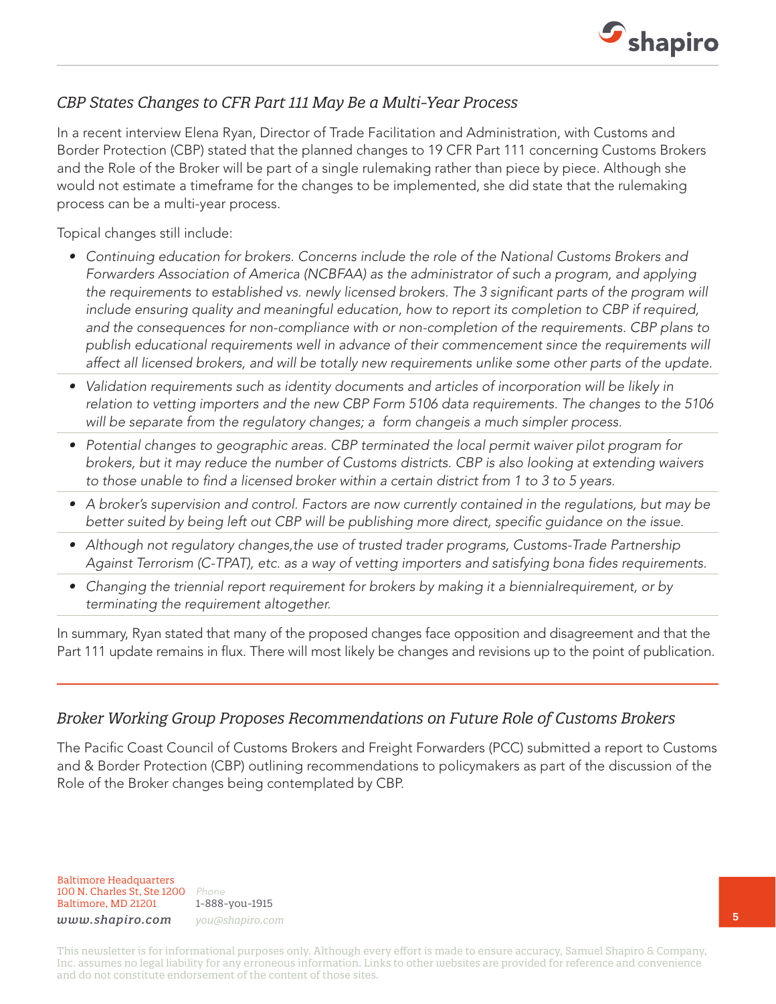

### *CBP States Changes to CFR Part 111 May Be a Multi-Year Process*

In a recent interview Elena Ryan, Director of Trade Facilitation and Administration, with Customs and Border Protection (CBP) stated that the planned changes to 19 CFR Part 111 concerning Customs Brokers and the Role of the Broker will be part of a single rulemaking rather than piece by piece. Although she would not estimate a timeframe for the changes to be implemented, she did state that the rulemaking process can be a multi-year process.

Topical changes still include:

- *• Continuing education for brokers. Concerns include the role of the National Customs Brokers and Forwarders Association of America (NCBFAA) as the administrator of such a program, and applying*  the requirements to established vs. newly licensed brokers. The 3 significant parts of the program will *include ensuring quality and meaningful education, how to report its completion to CBP if required, and the consequences for non-compliance with or non-completion of the requirements. CBP plans to*  publish educational requirements well in advance of their commencement since the requirements will *affect all licensed brokers, and will be totally new requirements unlike some other parts of the update.*
- *• Validation requirements such as identity documents and articles of incorporation will be likely in relation to vetting importers and the new CBP Form 5106 data requirements. The changes to the 5106 will be separate from the regulatory changes; a form changeis a much simpler process.*
- *• Potential changes to geographic areas. CBP terminated the local permit waiver pilot program for brokers, but it may reduce the number of Customs districts. CBP is also looking at extending waivers to those unable to find a licensed broker within a certain district from 1 to 3 to 5 years.*
- *• A broker's supervision and control. Factors are now currently contained in the regulations, but may be better suited by being left out CBP will be publishing more direct, specific guidance on the issue.*
- Although not regulatory changes, the use of trusted trader programs, Customs-Trade Partnership *Against Terrorism (C-TPAT), etc. as a way of vetting importers and satisfying bona fides requirements.*
- *• Changing the triennial report requirement for brokers by making it a biennialrequirement, or by terminating the requirement altogether.*

In summary, Ryan stated that many of the proposed changes face opposition and disagreement and that the Part 111 update remains in flux. There will most likely be changes and revisions up to the point of publication.

### *Broker Working Group Proposes Recommendations on Future Role of Customs Brokers*

The Pacific Coast Council of Customs Brokers and Freight Forwarders (PCC) submitted a report to Customs and & Border Protection (CBP) outlining recommendations to policymakers as part of the discussion of the Role of the Broker changes being contemplated by CBP.

Baltimore Headquarters 100 N. Charles St, Ste 1200 *Phone* Baltimore, MD 21201

1-888-you-1915 *www.shapiro.com you@shapiro.com*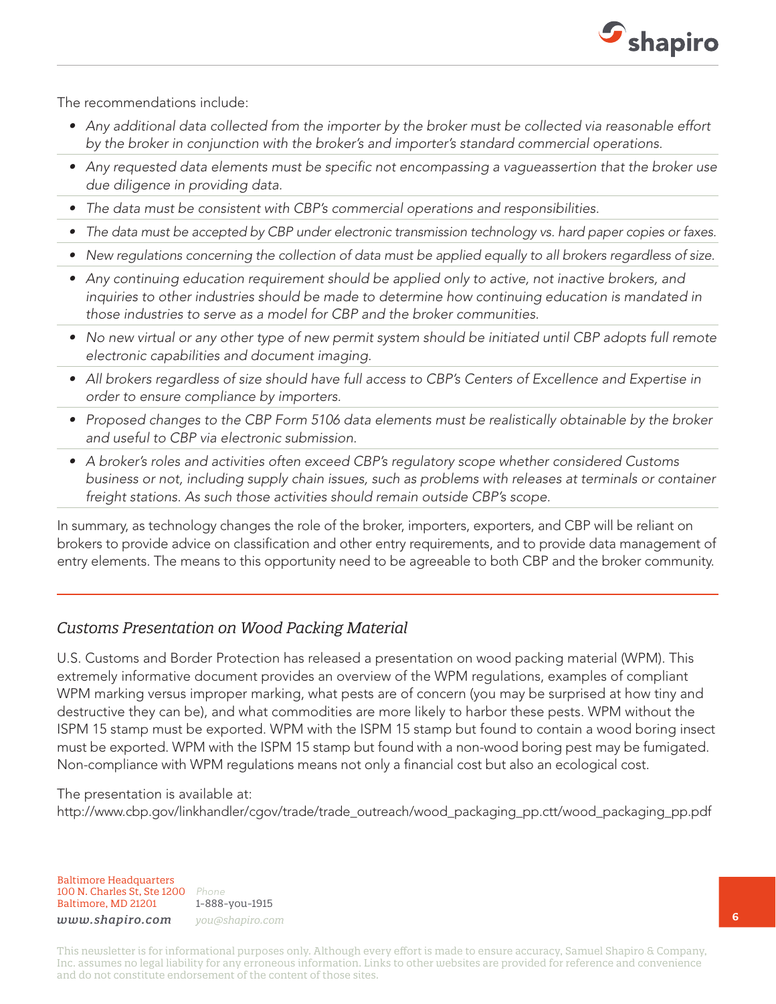

The recommendations include:

- *• Any additional data collected from the importer by the broker must be collected via reasonable effort by the broker in conjunction with the broker's and importer's standard commercial operations.*
- Any requested data elements must be specific not encompassing a vagueassertion that the broker use *due diligence in providing data.*
- *• The data must be consistent with CBP's commercial operations and responsibilities.*
- *• The data must be accepted by CBP under electronic transmission technology vs. hard paper copies or faxes.*
- *• New regulations concerning the collection of data must be applied equally to all brokers regardless of size.*
- Any continuing education requirement should be applied only to active, not inactive brokers, and *inquiries to other industries should be made to determine how continuing education is mandated in those industries to serve as a model for CBP and the broker communities.*
- *• No new virtual or any other type of new permit system should be initiated until CBP adopts full remote electronic capabilities and document imaging.*
- *• All brokers regardless of size should have full access to CBP's Centers of Excellence and Expertise in order to ensure compliance by importers.*
- *• Proposed changes to the CBP Form 5106 data elements must be realistically obtainable by the broker and useful to CBP via electronic submission.*
- *• A broker's roles and activities often exceed CBP's regulatory scope whether considered Customs business or not, including supply chain issues, such as problems with releases at terminals or container freight stations. As such those activities should remain outside CBP's scope.*

In summary, as technology changes the role of the broker, importers, exporters, and CBP will be reliant on brokers to provide advice on classification and other entry requirements, and to provide data management of entry elements. The means to this opportunity need to be agreeable to both CBP and the broker community.

### *Customs Presentation on Wood Packing Material*

U.S. Customs and Border Protection has released a presentation on wood packing material (WPM). This extremely informative document provides an overview of the WPM regulations, examples of compliant WPM marking versus improper marking, what pests are of concern (you may be surprised at how tiny and destructive they can be), and what commodities are more likely to harbor these pests. WPM without the ISPM 15 stamp must be exported. WPM with the ISPM 15 stamp but found to contain a wood boring insect must be exported. WPM with the ISPM 15 stamp but found with a non-wood boring pest may be fumigated. Non-compliance with WPM regulations means not only a financial cost but also an ecological cost.

### The presentation is available at: http://www.cbp.gov/linkhandler/cgov/trade/trade\_outreach/wood\_packaging\_pp.ctt/wood\_packaging\_pp.pdf

Baltimore Headquarters 100 N. Charles St, Ste 1200 *Phone* Baltimore, MD 21201

1-888-you-1915

*www.shapiro.com you@shapiro.com*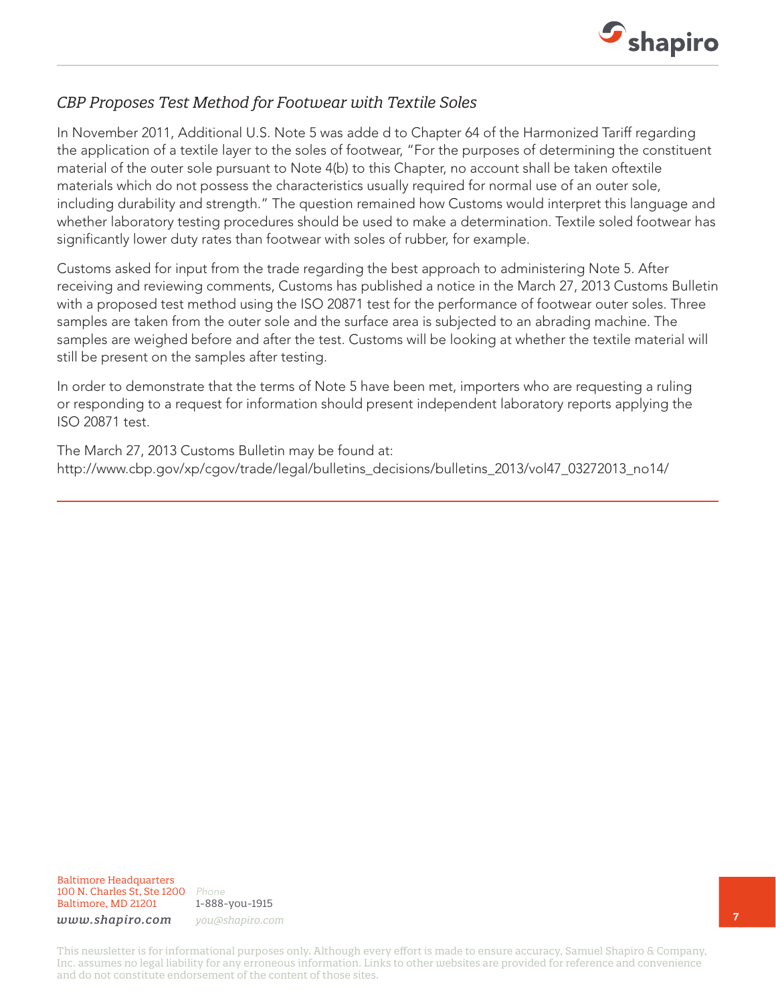

### *CBP Proposes Test Method for Footwear with Textile Soles*

In November 2011, Additional U.S. Note 5 was adde d to Chapter 64 of the Harmonized Tariff regarding the application of a textile layer to the soles of footwear, "For the purposes of determining the constituent material of the outer sole pursuant to Note 4(b) to this Chapter, no account shall be taken oftextile materials which do not possess the characteristics usually required for normal use of an outer sole, including durability and strength." The question remained how Customs would interpret this language and whether laboratory testing procedures should be used to make a determination. Textile soled footwear has significantly lower duty rates than footwear with soles of rubber, for example.

Customs asked for input from the trade regarding the best approach to administering Note 5. After receiving and reviewing comments, Customs has published a notice in the March 27, 2013 Customs Bulletin with a proposed test method using the ISO 20871 test for the performance of footwear outer soles. Three samples are taken from the outer sole and the surface area is subjected to an abrading machine. The samples are weighed before and after the test. Customs will be looking at whether the textile material will still be present on the samples after testing.

In order to demonstrate that the terms of Note 5 have been met, importers who are requesting a ruling or responding to a request for information should present independent laboratory reports applying the ISO 20871 test.

The March 27, 2013 Customs Bulletin may be found at: http://www.cbp.gov/xp/cgov/trade/legal/bulletins\_decisions/bulletins\_2013/vol47\_03272013\_no14/

Baltimore Headquarters 100 N. Charles St, Ste 1200 *Phone* Baltimore, MD 21201

1-888-you-1915

*www.shapiro.com you@shapiro.com*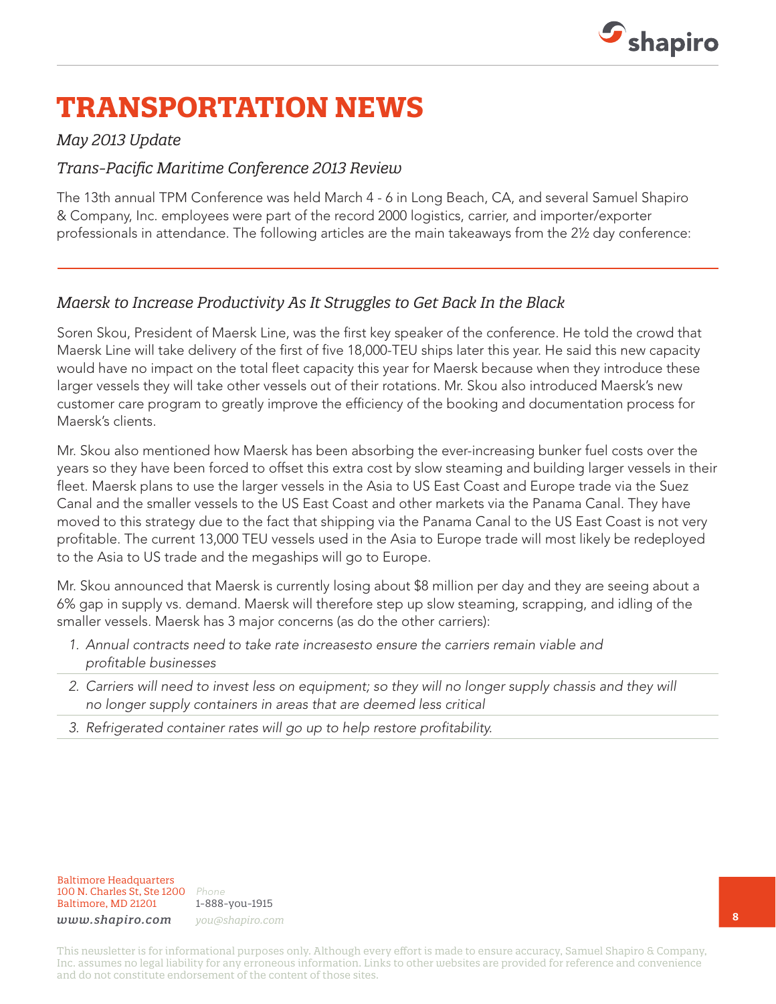

# **TRANSPORTATION NEWS**

### *May 2013 Update*

### *Trans-Pacific Maritime Conference 2013 Review*

The 13th annual TPM Conference was held March 4 - 6 in Long Beach, CA, and several Samuel Shapiro & Company, Inc. employees were part of the record 2000 logistics, carrier, and importer/exporter professionals in attendance. The following articles are the main takeaways from the 2½ day conference:

### *Maersk to Increase Productivity As It Struggles to Get Back In the Black*

Soren Skou, President of Maersk Line, was the first key speaker of the conference. He told the crowd that Maersk Line will take delivery of the first of five 18,000-TEU ships later this year. He said this new capacity would have no impact on the total fleet capacity this year for Maersk because when they introduce these larger vessels they will take other vessels out of their rotations. Mr. Skou also introduced Maersk's new customer care program to greatly improve the efficiency of the booking and documentation process for Maersk's clients.

Mr. Skou also mentioned how Maersk has been absorbing the ever-increasing bunker fuel costs over the years so they have been forced to offset this extra cost by slow steaming and building larger vessels in their fleet. Maersk plans to use the larger vessels in the Asia to US East Coast and Europe trade via the Suez Canal and the smaller vessels to the US East Coast and other markets via the Panama Canal. They have moved to this strategy due to the fact that shipping via the Panama Canal to the US East Coast is not very profitable. The current 13,000 TEU vessels used in the Asia to Europe trade will most likely be redeployed to the Asia to US trade and the megaships will go to Europe.

Mr. Skou announced that Maersk is currently losing about \$8 million per day and they are seeing about a 6% gap in supply vs. demand. Maersk will therefore step up slow steaming, scrapping, and idling of the smaller vessels. Maersk has 3 major concerns (as do the other carriers):

- *1. Annual contracts need to take rate increasesto ensure the carriers remain viable and profitable businesses*
- *2. Carriers will need to invest less on equipment; so they will no longer supply chassis and they will no longer supply containers in areas that are deemed less critical*
- *3. Refrigerated container rates will go up to help restore profitability.*

1-888-you-1915 *www.shapiro.com you@shapiro.com*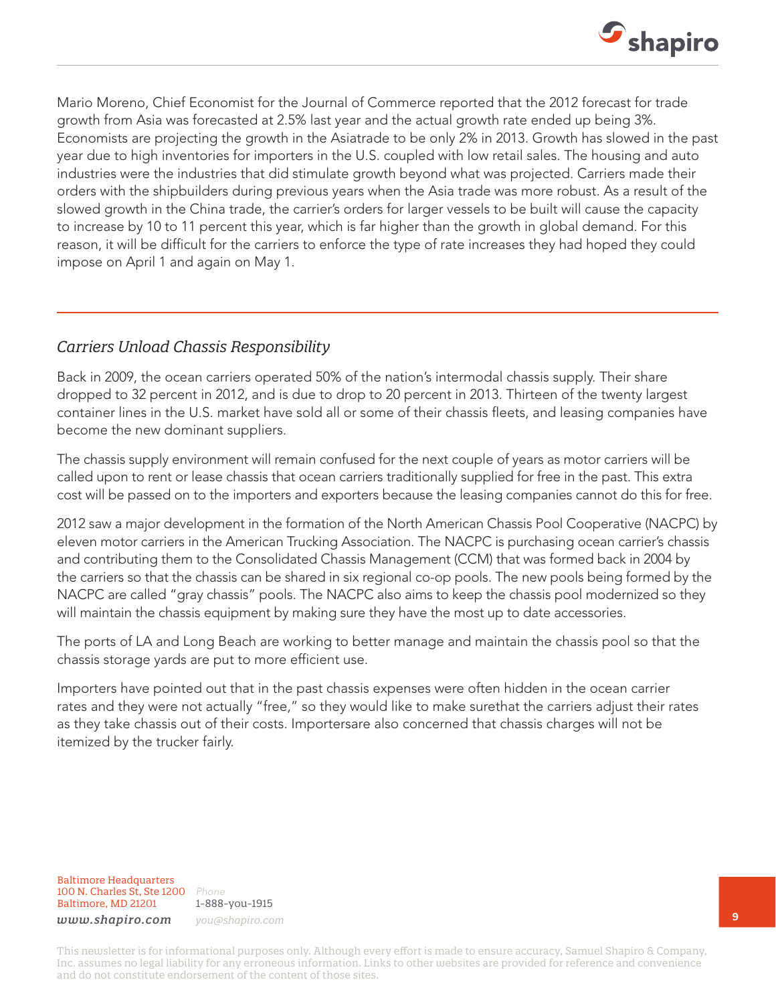

Mario Moreno, Chief Economist for the Journal of Commerce reported that the 2012 forecast for trade growth from Asia was forecasted at 2.5% last year and the actual growth rate ended up being 3%. Economists are projecting the growth in the Asiatrade to be only 2% in 2013. Growth has slowed in the past year due to high inventories for importers in the U.S. coupled with low retail sales. The housing and auto industries were the industries that did stimulate growth beyond what was projected. Carriers made their orders with the shipbuilders during previous years when the Asia trade was more robust. As a result of the slowed growth in the China trade, the carrier's orders for larger vessels to be built will cause the capacity to increase by 10 to 11 percent this year, which is far higher than the growth in global demand. For this reason, it will be difficult for the carriers to enforce the type of rate increases they had hoped they could impose on April 1 and again on May 1.

### *Carriers Unload Chassis Responsibility*

Back in 2009, the ocean carriers operated 50% of the nation's intermodal chassis supply. Their share dropped to 32 percent in 2012, and is due to drop to 20 percent in 2013. Thirteen of the twenty largest container lines in the U.S. market have sold all or some of their chassis fleets, and leasing companies have become the new dominant suppliers.

The chassis supply environment will remain confused for the next couple of years as motor carriers will be called upon to rent or lease chassis that ocean carriers traditionally supplied for free in the past. This extra cost will be passed on to the importers and exporters because the leasing companies cannot do this for free.

2012 saw a major development in the formation of the North American Chassis Pool Cooperative (NACPC) by eleven motor carriers in the American Trucking Association. The NACPC is purchasing ocean carrier's chassis and contributing them to the Consolidated Chassis Management (CCM) that was formed back in 2004 by the carriers so that the chassis can be shared in six regional co-op pools. The new pools being formed by the NACPC are called "gray chassis" pools. The NACPC also aims to keep the chassis pool modernized so they will maintain the chassis equipment by making sure they have the most up to date accessories.

The ports of LA and Long Beach are working to better manage and maintain the chassis pool so that the chassis storage yards are put to more efficient use.

Importers have pointed out that in the past chassis expenses were often hidden in the ocean carrier rates and they were not actually "free," so they would like to make surethat the carriers adjust their rates as they take chassis out of their costs. Importersare also concerned that chassis charges will not be itemized by the trucker fairly.

Baltimore Headquarters 100 N. Charles St, Ste 1200 *Phone* Baltimore, MD 21201

1-888-you-1915 *www.shapiro.com you@shapiro.com*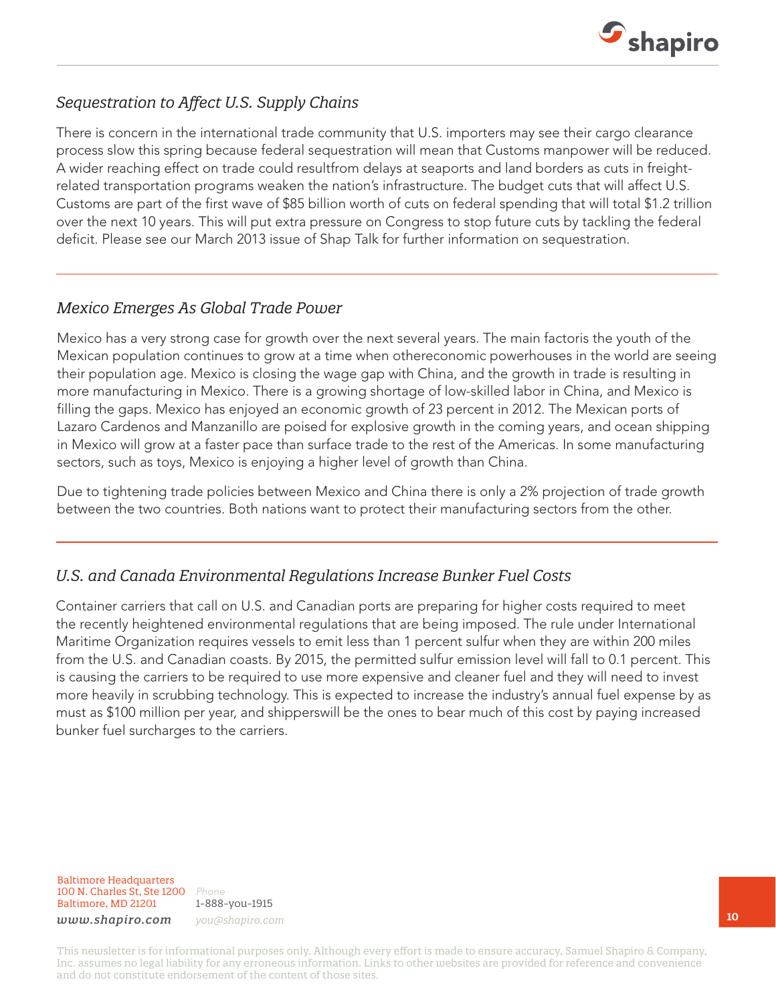

## *Sequestration to Affect U.S. Supply Chains*

There is concern in the international trade community that U.S. importers may see their cargo clearance process slow this spring because federal sequestration will mean that Customs manpower will be reduced. A wider reaching effect on trade could resultfrom delays at seaports and land borders as cuts in freightrelated transportation programs weaken the nation's infrastructure. The budget cuts that will affect U.S. Customs are part of the first wave of \$85 billion worth of cuts on federal spending that will total \$1.2 trillion over the next 10 years. This will put extra pressure on Congress to stop future cuts by tackling the federal deficit. Please see our March 2013 issue of Shap Talk for further information on sequestration.

### *Mexico Emerges As Global Trade Power*

Mexico has a very strong case for growth over the next several years. The main factoris the youth of the Mexican population continues to grow at a time when othereconomic powerhouses in the world are seeing their population age. Mexico is closing the wage gap with China, and the growth in trade is resulting in more manufacturing in Mexico. There is a growing shortage of low-skilled labor in China, and Mexico is filling the gaps. Mexico has enjoyed an economic growth of 23 percent in 2012. The Mexican ports of Lazaro Cardenos and Manzanillo are poised for explosive growth in the coming years, and ocean shipping in Mexico will grow at a faster pace than surface trade to the rest of the Americas. In some manufacturing sectors, such as toys, Mexico is enjoying a higher level of growth than China.

Due to tightening trade policies between Mexico and China there is only a 2% projection of trade growth between the two countries. Both nations want to protect their manufacturing sectors from the other.

## *U.S. and Canada Environmental Regulations Increase Bunker Fuel Costs*

Container carriers that call on U.S. and Canadian ports are preparing for higher costs required to meet the recently heightened environmental regulations that are being imposed. The rule under International Maritime Organization requires vessels to emit less than 1 percent sulfur when they are within 200 miles from the U.S. and Canadian coasts. By 2015, the permitted sulfur emission level will fall to 0.1 percent. This is causing the carriers to be required to use more expensive and cleaner fuel and they will need to invest more heavily in scrubbing technology. This is expected to increase the industry's annual fuel expense by as must as \$100 million per year, and shipperswill be the ones to bear much of this cost by paying increased bunker fuel surcharges to the carriers.

Baltimore Headquarters 100 N. Charles St, Ste 1200 *Phone* Baltimore, MD 21201

1-888-you-1915 *www.shapiro.com you@shapiro.com*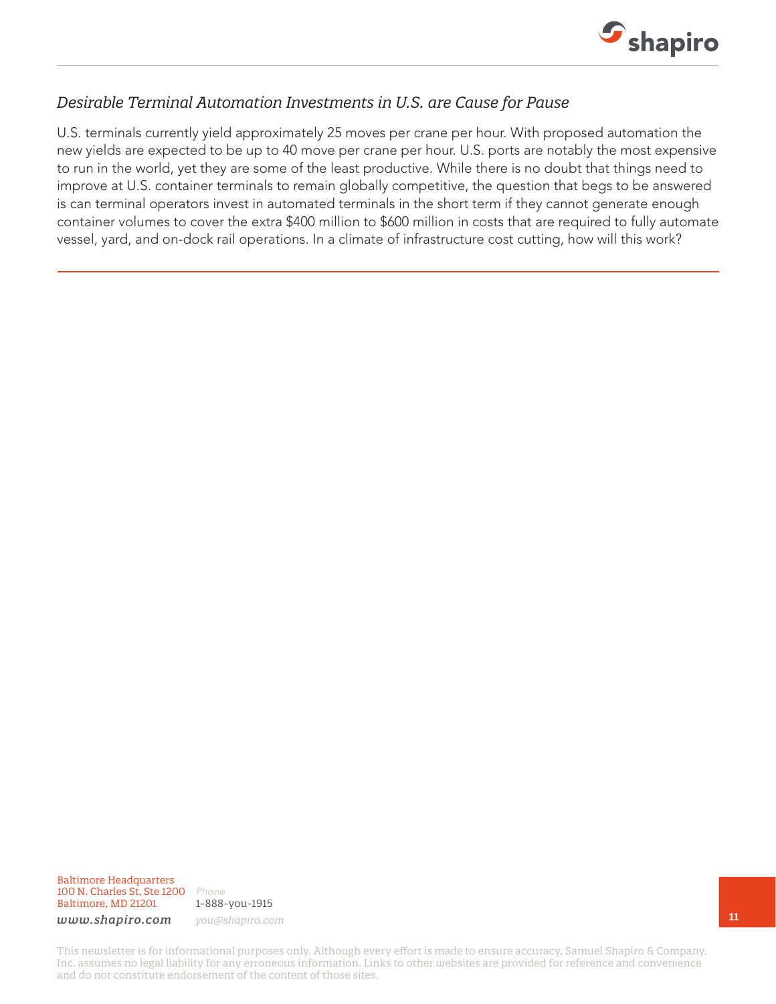

### *Desirable Terminal Automation Investments in U.S. are Cause for Pause*

U.S. terminals currently yield approximately 25 moves per crane per hour. With proposed automation the new yields are expected to be up to 40 move per crane per hour. U.S. ports are notably the most expensive to run in the world, yet they are some of the least productive. While there is no doubt that things need to improve at U.S. container terminals to remain globally competitive, the question that begs to be answered is can terminal operators invest in automated terminals in the short term if they cannot generate enough container volumes to cover the extra \$400 million to \$600 million in costs that are required to fully automate vessel, yard, and on-dock rail operations. In a climate of infrastructure cost cutting, how will this work?

Baltimore Headquarters 100 N. Charles St, Ste 1200 *Phone* Baltimore, MD 21201

1-888-you-1915

*www.shapiro.com you@shapiro.com*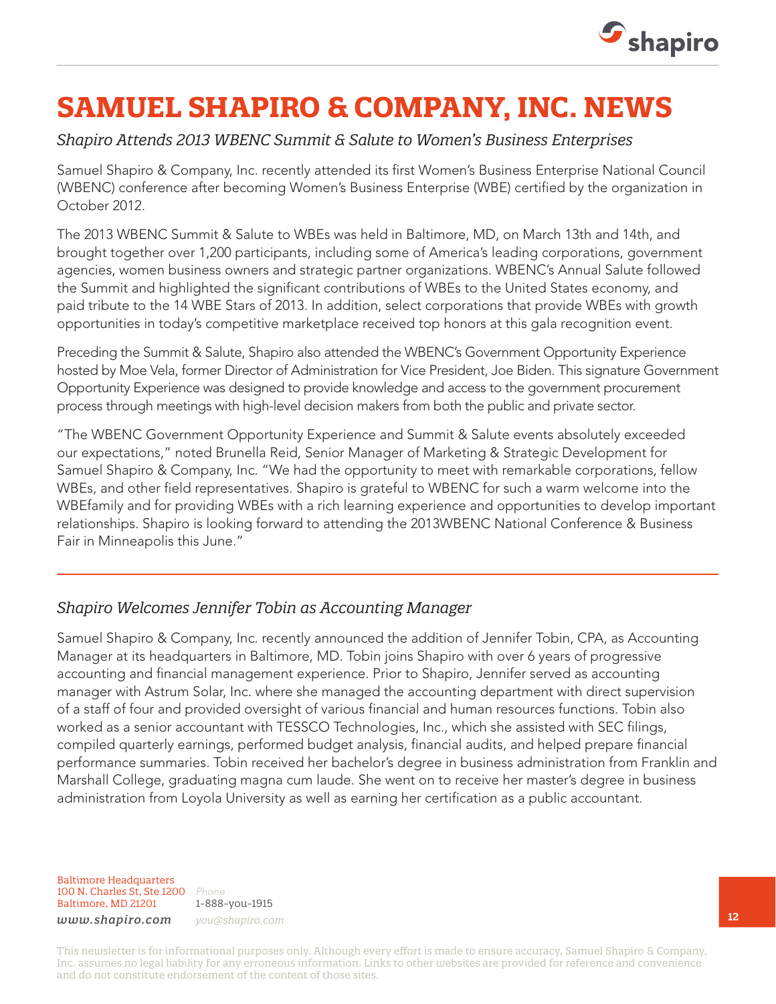

# **SAMUEL SHAPIRO & COMPANY, INC. NEWS**

### *Shapiro Attends 2013 WBENC Summit & Salute to Women's Business Enterprises*

Samuel Shapiro & Company, Inc. recently attended its first Women's Business Enterprise National Council (WBENC) conference after becoming Women's Business Enterprise (WBE) certified by the organization in October 2012.

The 2013 WBENC Summit & Salute to WBEs was held in Baltimore, MD, on March 13th and 14th, and brought together over 1,200 participants, including some of America's leading corporations, government agencies, women business owners and strategic partner organizations. WBENC's Annual Salute followed the Summit and highlighted the significant contributions of WBEs to the United States economy, and paid tribute to the 14 WBE Stars of 2013. In addition, select corporations that provide WBEs with growth opportunities in today's competitive marketplace received top honors at this gala recognition event.

Preceding the Summit & Salute, Shapiro also attended the WBENC's Government Opportunity Experience hosted by Moe Vela, former Director of Administration for Vice President, Joe Biden. This signature Government Opportunity Experience was designed to provide knowledge and access to the government procurement process through meetings with high-level decision makers from both the public and private sector.

"The WBENC Government Opportunity Experience and Summit & Salute events absolutely exceeded our expectations," noted Brunella Reid, Senior Manager of Marketing & Strategic Development for Samuel Shapiro & Company, Inc. "We had the opportunity to meet with remarkable corporations, fellow WBEs, and other field representatives. Shapiro is grateful to WBENC for such a warm welcome into the WBEfamily and for providing WBEs with a rich learning experience and opportunities to develop important relationships. Shapiro is looking forward to attending the 2013WBENC National Conference & Business Fair in Minneapolis this June."

## *Shapiro Welcomes Jennifer Tobin as Accounting Manager*

Samuel Shapiro & Company, Inc. recently announced the addition of Jennifer Tobin, CPA, as Accounting Manager at its headquarters in Baltimore, MD. Tobin joins Shapiro with over 6 years of progressive accounting and financial management experience. Prior to Shapiro, Jennifer served as accounting manager with Astrum Solar, Inc. where she managed the accounting department with direct supervision of a staff of four and provided oversight of various financial and human resources functions. Tobin also worked as a senior accountant with TESSCO Technologies, Inc., which she assisted with SEC filings, compiled quarterly earnings, performed budget analysis, financial audits, and helped prepare financial performance summaries. Tobin received her bachelor's degree in business administration from Franklin and Marshall College, graduating magna cum laude. She went on to receive her master's degree in business administration from Loyola University as well as earning her certification as a public accountant.

Baltimore Headquarters 100 N. Charles St, Ste 1200 *Phone* Baltimore, MD 21201

1-888-you-1915 *www.shapiro.com you@shapiro.com*